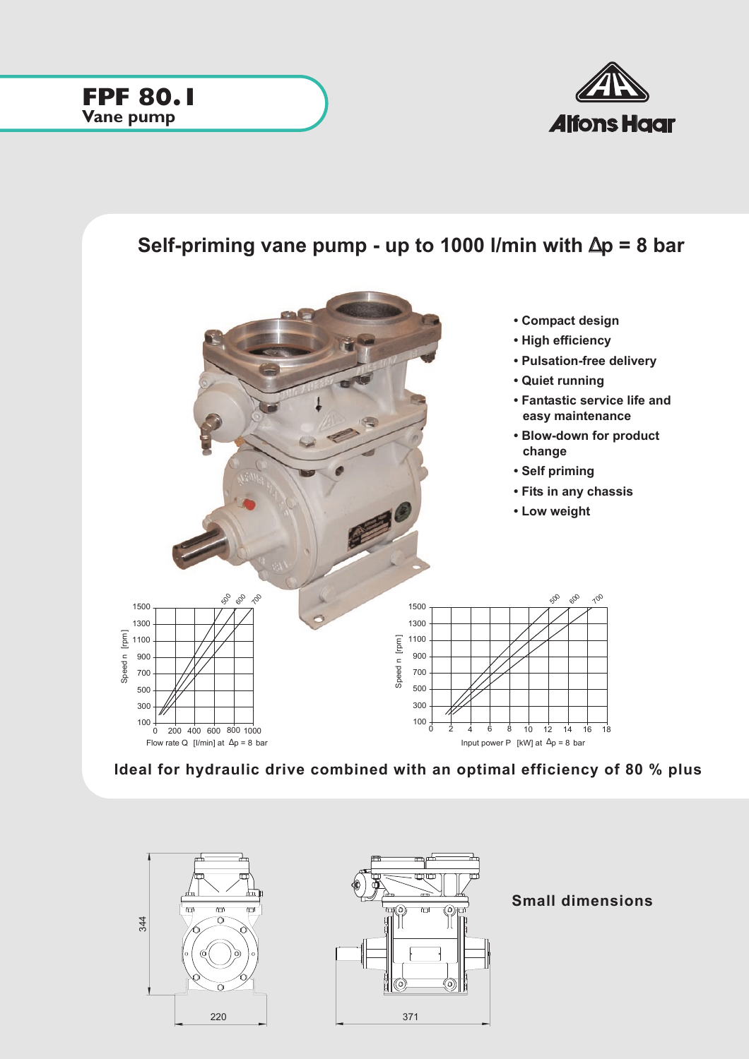

## **Self-priming vane pump - up to 1000 l/min with** ∆**p = 8 bar**









**Small dimensions**